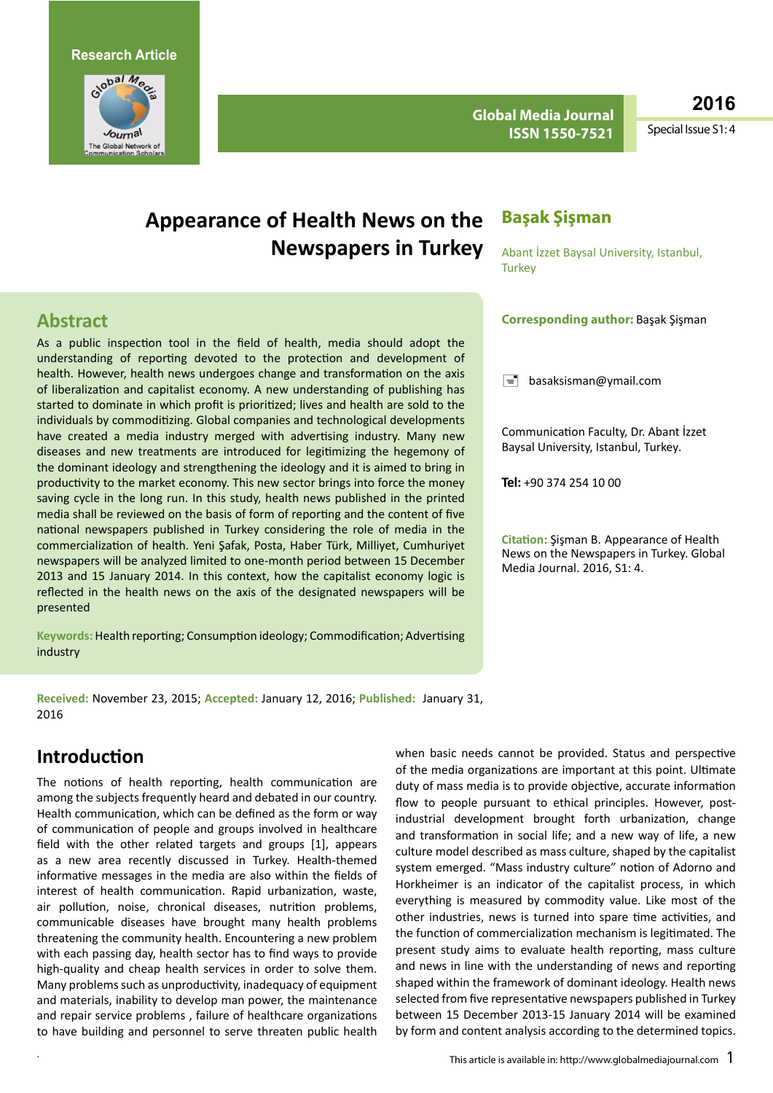

**Global Media Journal ISSN 1550-7521**

**2016**

Special Issue S1: 4

# **Appearance of Health News on the Newspapers in Turkey**

### **Başak Şişman**

Abant İzzet Baysal University, Istanbul, **Turkey** 

### **Abstract**

As a public inspection tool in the field of health, media should adopt the understanding of reporting devoted to the protection and development of health. However, health news undergoes change and transformation on the axis of liberalization and capitalist economy. A new understanding of publishing has started to dominate in which profit is prioritized; lives and health are sold to the individuals by commoditizing. Global companies and technological developments have created a media industry merged with advertising industry. Many new diseases and new treatments are introduced for legitimizing the hegemony of the dominant ideology and strengthening the ideology and it is aimed to bring in productivity to the market economy. This new sector brings into force the money saving cycle in the long run. In this study, health news published in the printed media shall be reviewed on the basis of form of reporting and the content of five national newspapers published in Turkey considering the role of media in the commercialization of health. Yeni Şafak, Posta, Haber Türk, Milliyet, Cumhuriyet newspapers will be analyzed limited to one-month period between 15 December 2013 and 15 January 2014. In this context, how the capitalist economy logic is reflected in the health news on the axis of the designated newspapers will be presented

**Keywords:** Health reporting; Consumption ideology; Commodification; Advertising industry

#### **Corresponding author:** Başak Şişman

 $\equiv$  [basaksisman@ymail.com](mailto:basaksisman@ymail.com)

Communication Faculty, Dr. Abant İzzet Baysal University, Istanbul, Turkey.

**Tel:** +90 374 254 10 00

**Citation:** Şişman B. Appearance of Health News on the Newspapers in Turkey. Global Media Journal. 2016, S1: 4.

**Received:** November 23, 2015; **Accepted:** January 12, 2016; **Published:** January 31, 2016

### **Introduction**

The notions of health reporting, health communication are among the subjects frequently heard and debated in our country. Health communication, which can be defined as the form or way of communication of people and groups involved in healthcare field with the other related targets and groups [1], appears as a new area recently discussed in Turkey. Health-themed informative messages in the media are also within the fields of interest of health communication. Rapid urbanization, waste, air pollution, noise, chronical diseases, nutrition problems, communicable diseases have brought many health problems threatening the community health. Encountering a new problem with each passing day, health sector has to find ways to provide high-quality and cheap health services in order to solve them. Many problems such as unproductivity, inadequacy of equipment and materials, inability to develop man power, the maintenance and repair service problems , failure of healthcare organizations to have building and personnel to serve threaten public health when basic needs cannot be provided. Status and perspective of the media organizations are important at this point. Ultimate duty of mass media is to provide objective, accurate information flow to people pursuant to ethical principles. However, postindustrial development brought forth urbanization, change and transformation in social life; and a new way of life, a new culture model described as mass culture, shaped by the capitalist system emerged. "Mass industry culture" notion of Adorno and Horkheimer is an indicator of the capitalist process, in which everything is measured by commodity value. Like most of the other industries, news is turned into spare time activities, and the function of commercialization mechanism is legitimated. The present study aims to evaluate health reporting, mass culture and news in line with the understanding of news and reporting shaped within the framework of dominant ideology. Health news selected from five representative newspapers published in Turkey between 15 December 2013-15 January 2014 will be examined by form and content analysis according to the determined topics.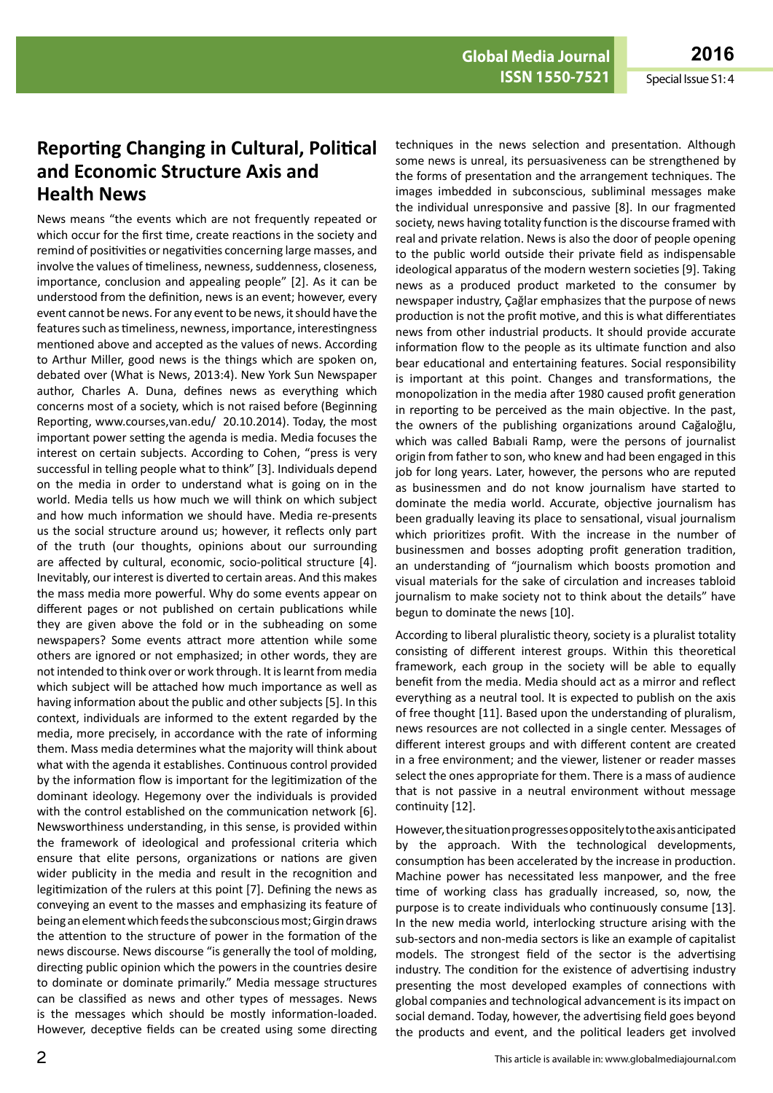### **Reporting Changing in Cultural, Political and Economic Structure Axis and Health News**

News means "the events which are not frequently repeated or which occur for the first time, create reactions in the society and remind of positivities or negativities concerning large masses, and involve the values of timeliness, newness, suddenness, closeness, importance, conclusion and appealing people" [2]. As it can be understood from the definition, news is an event; however, every event cannot be news. For any event to be news, it should have the features such as timeliness, newness, importance, interestingness mentioned above and accepted as the values of news. According to Arthur Miller, good news is the things which are spoken on, debated over (What is News, 2013:4). New York Sun Newspaper author, Charles A. Duna, defines news as everything which concerns most of a society, which is not raised before (Beginning Reporting, [www.courses,van.edu/](http://www.courses,van.edu/) 20.10.2014). Today, the most important power setting the agenda is media. Media focuses the interest on certain subjects. According to Cohen, "press is very successful in telling people what to think" [3]. Individuals depend on the media in order to understand what is going on in the world. Media tells us how much we will think on which subject and how much information we should have. Media re-presents us the social structure around us; however, it reflects only part of the truth (our thoughts, opinions about our surrounding are affected by cultural, economic, socio-political structure [4]. Inevitably, our interest is diverted to certain areas. And this makes the mass media more powerful. Why do some events appear on different pages or not published on certain publications while they are given above the fold or in the subheading on some newspapers? Some events attract more attention while some others are ignored or not emphasized; in other words, they are not intended to think over or work through. It is learnt from media which subject will be attached how much importance as well as having information about the public and other subjects [5]. In this context, individuals are informed to the extent regarded by the media, more precisely, in accordance with the rate of informing them. Mass media determines what the majority will think about what with the agenda it establishes. Continuous control provided by the information flow is important for the legitimization of the dominant ideology. Hegemony over the individuals is provided with the control established on the communication network [6]. Newsworthiness understanding, in this sense, is provided within the framework of ideological and professional criteria which ensure that elite persons, organizations or nations are given wider publicity in the media and result in the recognition and legitimization of the rulers at this point [7]. Defining the news as conveying an event to the masses and emphasizing its feature of being an element which feeds the subconscious most; Girgin draws the attention to the structure of power in the formation of the news discourse. News discourse "is generally the tool of molding, directing public opinion which the powers in the countries desire to dominate or dominate primarily." Media message structures can be classified as news and other types of messages. News is the messages which should be mostly information-loaded. However, deceptive fields can be created using some directing

techniques in the news selection and presentation. Although some news is unreal, its persuasiveness can be strengthened by the forms of presentation and the arrangement techniques. The images imbedded in subconscious, subliminal messages make the individual unresponsive and passive [8]. In our fragmented society, news having totality function is the discourse framed with real and private relation. News is also the door of people opening to the public world outside their private field as indispensable ideological apparatus of the modern western societies [9]. Taking news as a produced product marketed to the consumer by newspaper industry, Çağlar emphasizes that the purpose of news production is not the profit motive, and this is what differentiates news from other industrial products. It should provide accurate information flow to the people as its ultimate function and also bear educational and entertaining features. Social responsibility is important at this point. Changes and transformations, the monopolization in the media after 1980 caused profit generation in reporting to be perceived as the main objective. In the past, the owners of the publishing organizations around Cağaloğlu, which was called Babıali Ramp, were the persons of journalist origin from father to son, who knew and had been engaged in this job for long years. Later, however, the persons who are reputed as businessmen and do not know journalism have started to dominate the media world. Accurate, objective journalism has been gradually leaving its place to sensational, visual journalism which prioritizes profit. With the increase in the number of businessmen and bosses adopting profit generation tradition, an understanding of "journalism which boosts promotion and visual materials for the sake of circulation and increases tabloid journalism to make society not to think about the details" have begun to dominate the news [10].

According to liberal pluralistic theory, society is a pluralist totality consisting of different interest groups. Within this theoretical framework, each group in the society will be able to equally benefit from the media. Media should act as a mirror and reflect everything as a neutral tool. It is expected to publish on the axis of free thought [11]. Based upon the understanding of pluralism, news resources are not collected in a single center. Messages of different interest groups and with different content are created in a free environment; and the viewer, listener or reader masses select the ones appropriate for them. There is a mass of audience that is not passive in a neutral environment without message continuity [12].

However, the situation progresses oppositely to the axis anticipated by the approach. With the technological developments, consumption has been accelerated by the increase in production. Machine power has necessitated less manpower, and the free time of working class has gradually increased, so, now, the purpose is to create individuals who continuously consume [13]. In the new media world, interlocking structure arising with the sub-sectors and non-media sectors is like an example of capitalist models. The strongest field of the sector is the advertising industry. The condition for the existence of advertising industry presenting the most developed examples of connections with global companies and technological advancement is its impact on social demand. Today, however, the advertising field goes beyond the products and event, and the political leaders get involved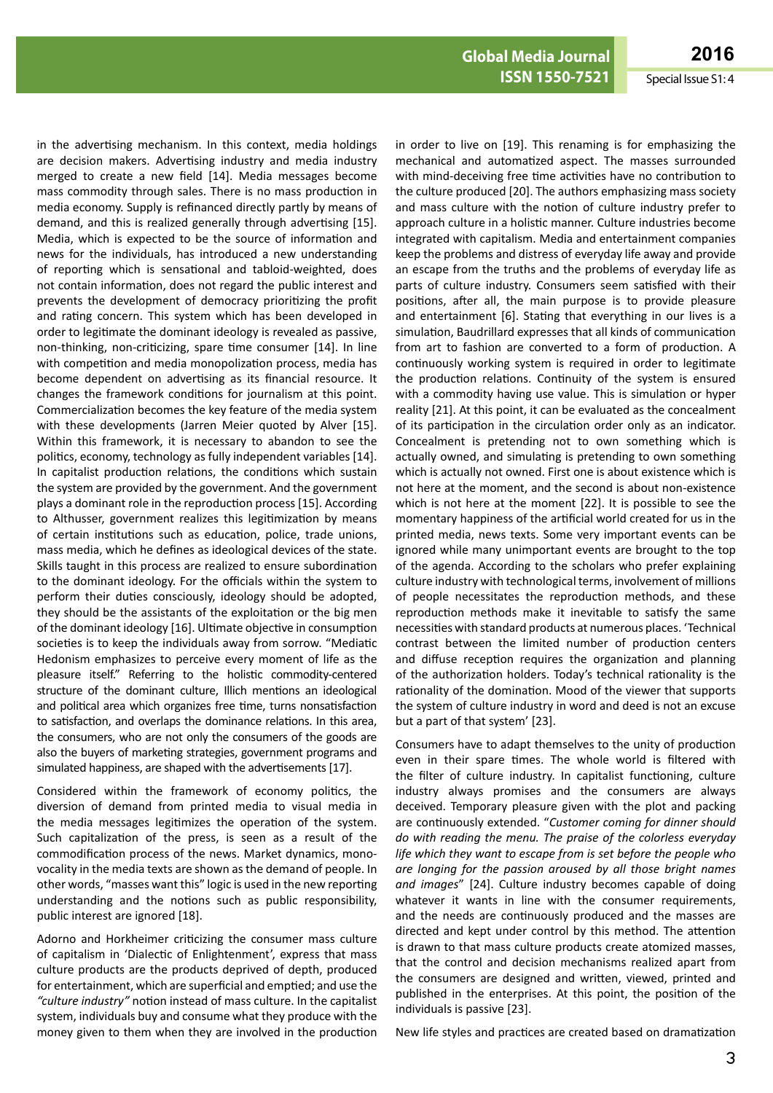**ISSN 1550-7521** Special Issue S1: 4

in the advertising mechanism. In this context, media holdings are decision makers. Advertising industry and media industry merged to create a new field [14]. Media messages become mass commodity through sales. There is no mass production in media economy. Supply is refinanced directly partly by means of demand, and this is realized generally through advertising [15]. Media, which is expected to be the source of information and news for the individuals, has introduced a new understanding of reporting which is sensational and tabloid-weighted, does not contain information, does not regard the public interest and prevents the development of democracy prioritizing the profit and rating concern. This system which has been developed in order to legitimate the dominant ideology is revealed as passive, non-thinking, non-criticizing, spare time consumer [14]. In line with competition and media monopolization process, media has become dependent on advertising as its financial resource. It changes the framework conditions for journalism at this point. Commercialization becomes the key feature of the media system with these developments (Jarren Meier quoted by Alver [15]. Within this framework, it is necessary to abandon to see the politics, economy, technology as fully independent variables [14]. In capitalist production relations, the conditions which sustain the system are provided by the government. And the government plays a dominant role in the reproduction process [15]. According to Althusser, government realizes this legitimization by means of certain institutions such as education, police, trade unions, mass media, which he defines as ideological devices of the state. Skills taught in this process are realized to ensure subordination to the dominant ideology. For the officials within the system to perform their duties consciously, ideology should be adopted, they should be the assistants of the exploitation or the big men of the dominant ideology [16]. Ultimate objective in consumption societies is to keep the individuals away from sorrow. "Mediatic Hedonism emphasizes to perceive every moment of life as the pleasure itself." Referring to the holistic commodity-centered structure of the dominant culture, Illich mentions an ideological and political area which organizes free time, turns nonsatisfaction to satisfaction, and overlaps the dominance relations. In this area, the consumers, who are not only the consumers of the goods are also the buyers of marketing strategies, government programs and simulated happiness, are shaped with the advertisements [17].

Considered within the framework of economy politics, the diversion of demand from printed media to visual media in the media messages legitimizes the operation of the system. Such capitalization of the press, is seen as a result of the commodification process of the news. Market dynamics, monovocality in the media texts are shown as the demand of people. In other words, "masses want this" logic is used in the new reporting understanding and the notions such as public responsibility, public interest are ignored [18].

Adorno and Horkheimer criticizing the consumer mass culture of capitalism in 'Dialectic of Enlightenment', express that mass culture products are the products deprived of depth, produced for entertainment, which are superficial and emptied; and use the *"culture industry"* notion instead of mass culture. In the capitalist system, individuals buy and consume what they produce with the money given to them when they are involved in the production in order to live on [19]. This renaming is for emphasizing the mechanical and automatized aspect. The masses surrounded with mind-deceiving free time activities have no contribution to the culture produced [20]. The authors emphasizing mass society and mass culture with the notion of culture industry prefer to approach culture in a holistic manner. Culture industries become integrated with capitalism. Media and entertainment companies keep the problems and distress of everyday life away and provide an escape from the truths and the problems of everyday life as parts of culture industry. Consumers seem satisfied with their positions, after all, the main purpose is to provide pleasure and entertainment [6]. Stating that everything in our lives is a simulation, Baudrillard expresses that all kinds of communication from art to fashion are converted to a form of production. A continuously working system is required in order to legitimate the production relations. Continuity of the system is ensured with a commodity having use value. This is simulation or hyper reality [21]. At this point, it can be evaluated as the concealment of its participation in the circulation order only as an indicator. Concealment is pretending not to own something which is actually owned, and simulating is pretending to own something which is actually not owned. First one is about existence which is not here at the moment, and the second is about non-existence which is not here at the moment [22]. It is possible to see the momentary happiness of the artificial world created for us in the printed media, news texts. Some very important events can be ignored while many unimportant events are brought to the top of the agenda. According to the scholars who prefer explaining culture industry with technological terms, involvement of millions of people necessitates the reproduction methods, and these reproduction methods make it inevitable to satisfy the same necessities with standard products at numerous places. 'Technical contrast between the limited number of production centers and diffuse reception requires the organization and planning of the authorization holders. Today's technical rationality is the rationality of the domination. Mood of the viewer that supports the system of culture industry in word and deed is not an excuse but a part of that system' [23].

Consumers have to adapt themselves to the unity of production even in their spare times. The whole world is filtered with the filter of culture industry. In capitalist functioning, culture industry always promises and the consumers are always deceived. Temporary pleasure given with the plot and packing are continuously extended. "*Customer coming for dinner should do with reading the menu. The praise of the colorless everyday life which they want to escape from is set before the people who are longing for the passion aroused by all those bright names and images*" [24]. Culture industry becomes capable of doing whatever it wants in line with the consumer requirements, and the needs are continuously produced and the masses are directed and kept under control by this method. The attention is drawn to that mass culture products create atomized masses, that the control and decision mechanisms realized apart from the consumers are designed and written, viewed, printed and published in the enterprises. At this point, the position of the individuals is passive [23].

New life styles and practices are created based on dramatization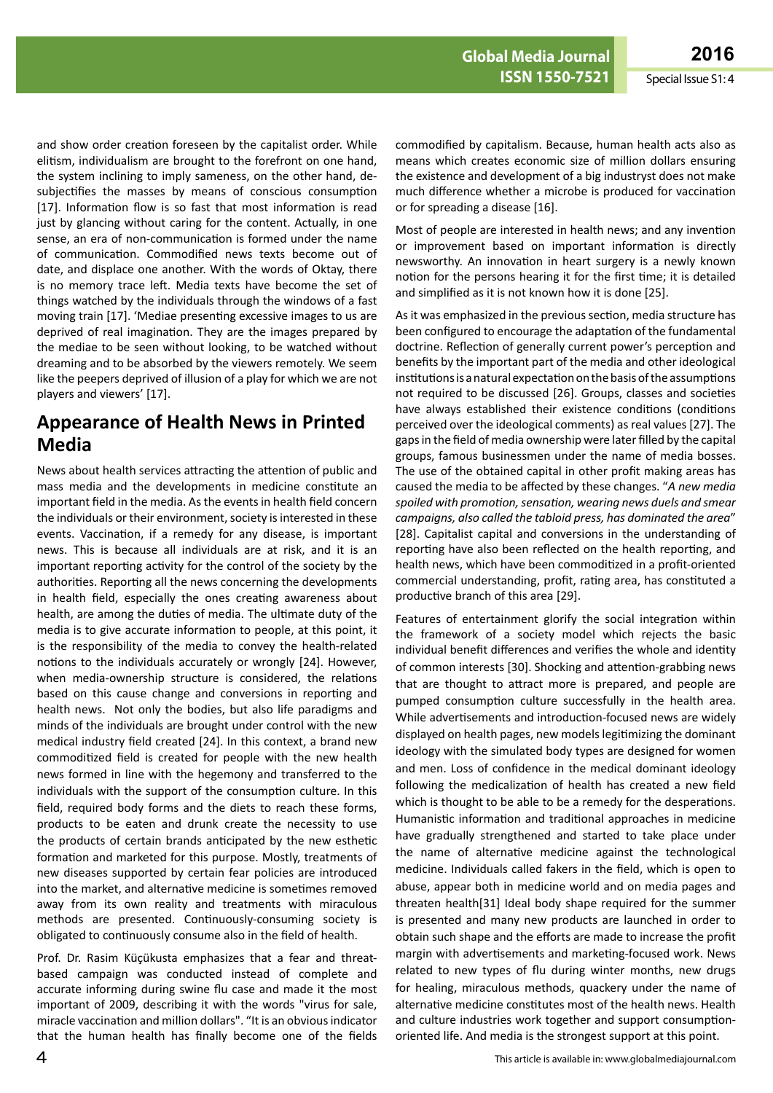and show order creation foreseen by the capitalist order. While elitism, individualism are brought to the forefront on one hand, the system inclining to imply sameness, on the other hand, desubjectifies the masses by means of conscious consumption [17]. Information flow is so fast that most information is read just by glancing without caring for the content. Actually, in one sense, an era of non-communication is formed under the name of communication. Commodified news texts become out of date, and displace one another. With the words of Oktay, there is no memory trace left. Media texts have become the set of things watched by the individuals through the windows of a fast moving train [17]. 'Mediae presenting excessive images to us are deprived of real imagination. They are the images prepared by the mediae to be seen without looking, to be watched without dreaming and to be absorbed by the viewers remotely. We seem like the peepers deprived of illusion of a play for which we are not players and viewers' [17].

## **Appearance of Health News in Printed Media**

News about health services attracting the attention of public and mass media and the developments in medicine constitute an important field in the media. As the events in health field concern the individuals or their environment, society is interested in these events. Vaccination, if a remedy for any disease, is important news. This is because all individuals are at risk, and it is an important reporting activity for the control of the society by the authorities. Reporting all the news concerning the developments in health field, especially the ones creating awareness about health, are among the duties of media. The ultimate duty of the media is to give accurate information to people, at this point, it is the responsibility of the media to convey the health-related notions to the individuals accurately or wrongly [24]. However, when media-ownership structure is considered, the relations based on this cause change and conversions in reporting and health news. Not only the bodies, but also life paradigms and minds of the individuals are brought under control with the new medical industry field created [24]. In this context, a brand new commoditized field is created for people with the new health news formed in line with the hegemony and transferred to the individuals with the support of the consumption culture. In this field, required body forms and the diets to reach these forms, products to be eaten and drunk create the necessity to use the products of certain brands anticipated by the new esthetic formation and marketed for this purpose. Mostly, treatments of new diseases supported by certain fear policies are introduced into the market, and alternative medicine is sometimes removed away from its own reality and treatments with miraculous methods are presented. Continuously-consuming society is obligated to continuously consume also in the field of health.

Prof. Dr. Rasim Küçükusta emphasizes that a fear and threatbased campaign was conducted instead of complete and accurate informing during swine flu case and made it the most important of 2009, describing it with the words "virus for sale, miracle vaccination and million dollars". "It is an obvious indicator that the human health has finally become one of the fields

commodified by capitalism. Because, human health acts also as means which creates economic size of million dollars ensuring the existence and development of a big industryst does not make much difference whether a microbe is produced for vaccination or for spreading a disease [16].

Most of people are interested in health news; and any invention or improvement based on important information is directly newsworthy. An innovation in heart surgery is a newly known notion for the persons hearing it for the first time; it is detailed and simplified as it is not known how it is done [25].

As it was emphasized in the previous section, media structure has been configured to encourage the adaptation of the fundamental doctrine. Reflection of generally current power's perception and benefits by the important part of the media and other ideological institutions is a natural expectation on the basis of the assumptions not required to be discussed [26]. Groups, classes and societies have always established their existence conditions (conditions perceived over the ideological comments) as real values [27]. The gaps in the field of media ownership were later filled by the capital groups, famous businessmen under the name of media bosses. The use of the obtained capital in other profit making areas has caused the media to be affected by these changes. "*A new media spoiled with promotion, sensation, wearing news duels and smear campaigns, also called the tabloid press, has dominated the area*" [28]. Capitalist capital and conversions in the understanding of reporting have also been reflected on the health reporting, and health news, which have been commoditized in a profit-oriented commercial understanding, profit, rating area, has constituted a productive branch of this area [29].

Features of entertainment glorify the social integration within the framework of a society model which rejects the basic individual benefit differences and verifies the whole and identity of common interests [30]. Shocking and attention-grabbing news that are thought to attract more is prepared, and people are pumped consumption culture successfully in the health area. While advertisements and introduction-focused news are widely displayed on health pages, new models legitimizing the dominant ideology with the simulated body types are designed for women and men. Loss of confidence in the medical dominant ideology following the medicalization of health has created a new field which is thought to be able to be a remedy for the desperations. Humanistic information and traditional approaches in medicine have gradually strengthened and started to take place under the name of alternative medicine against the technological medicine. Individuals called fakers in the field, which is open to abuse, appear both in medicine world and on media pages and threaten health[31] Ideal body shape required for the summer is presented and many new products are launched in order to obtain such shape and the efforts are made to increase the profit margin with advertisements and marketing-focused work. News related to new types of flu during winter months, new drugs for healing, miraculous methods, quackery under the name of alternative medicine constitutes most of the health news. Health and culture industries work together and support consumptionoriented life. And media is the strongest support at this point.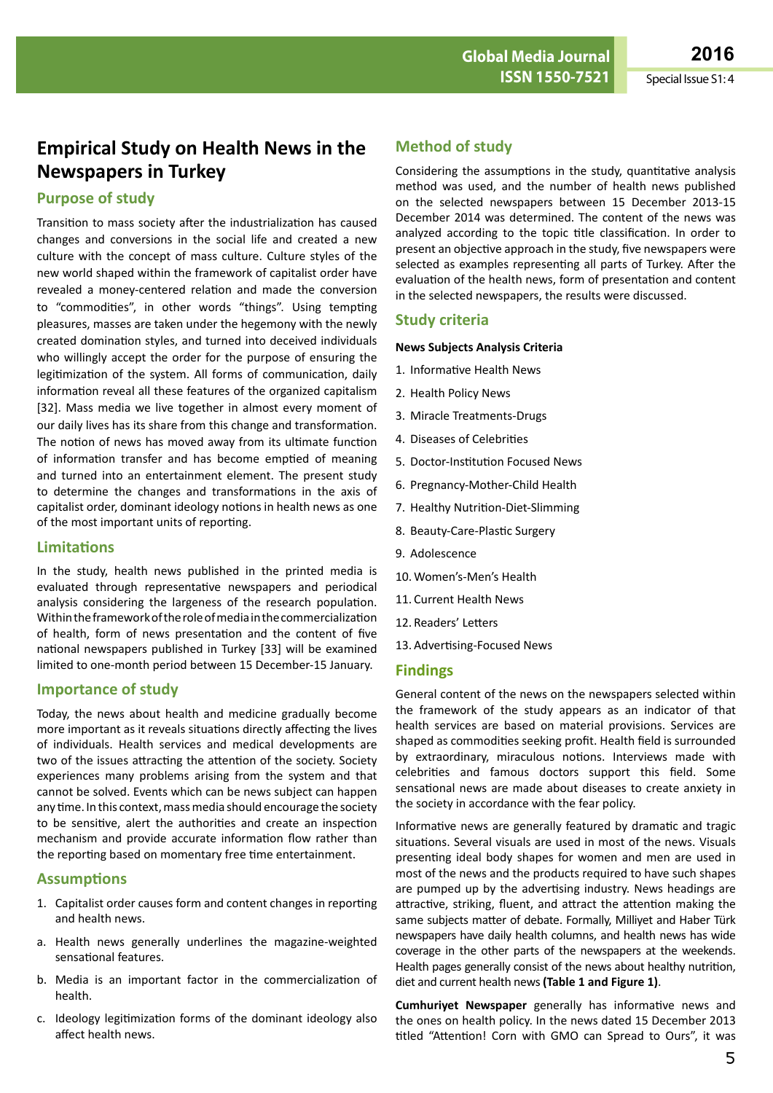## **Empirical Study on Health News in the Newspapers in Turkey**

#### **Purpose of study**

Transition to mass society after the industrialization has caused changes and conversions in the social life and created a new culture with the concept of mass culture. Culture styles of the new world shaped within the framework of capitalist order have revealed a money-centered relation and made the conversion to "commodities", in other words "things". Using tempting pleasures, masses are taken under the hegemony with the newly created domination styles, and turned into deceived individuals who willingly accept the order for the purpose of ensuring the legitimization of the system. All forms of communication, daily information reveal all these features of the organized capitalism [32]. Mass media we live together in almost every moment of our daily lives has its share from this change and transformation. The notion of news has moved away from its ultimate function of information transfer and has become emptied of meaning and turned into an entertainment element. The present study to determine the changes and transformations in the axis of capitalist order, dominant ideology notions in health news as one of the most important units of reporting.

#### **Limitations**

In the study, health news published in the printed media is evaluated through representative newspapers and periodical analysis considering the largeness of the research population. Within the framework of the role of media in the commercialization of health, form of news presentation and the content of five national newspapers published in Turkey [33] will be examined limited to one-month period between 15 December-15 January.

#### **Importance of study**

Today, the news about health and medicine gradually become more important as it reveals situations directly affecting the lives of individuals. Health services and medical developments are two of the issues attracting the attention of the society. Society experiences many problems arising from the system and that cannot be solved. Events which can be news subject can happen any time. In this context, mass media should encourage the society to be sensitive, alert the authorities and create an inspection mechanism and provide accurate information flow rather than the reporting based on momentary free time entertainment.

#### **Assumptions**

- 1. Capitalist order causes form and content changes in reporting and health news.
- a. Health news generally underlines the magazine-weighted sensational features.
- b. Media is an important factor in the commercialization of health.
- c. Ideology legitimization forms of the dominant ideology also affect health news.

#### **Method of study**

Considering the assumptions in the study, quantitative analysis method was used, and the number of health news published on the selected newspapers between 15 December 2013-15 December 2014 was determined. The content of the news was analyzed according to the topic title classification. In order to present an objective approach in the study, five newspapers were selected as examples representing all parts of Turkey. After the evaluation of the health news, form of presentation and content in the selected newspapers, the results were discussed.

#### **Study criteria**

#### **News Subjects Analysis Criteria**

- 1. Informative Health News
- 2. Health Policy News
- 3. Miracle Treatments-Drugs
- 4. Diseases of Celebrities
- 5. Doctor-Institution Focused News
- 6. Pregnancy-Mother-Child Health
- 7. Healthy Nutrition-Diet-Slimming
- 8. Beauty-Care-Plastic Surgery
- 9. Adolescence
- 10. Women's-Men's Health
- 11. Current Health News
- 12. Readers' Letters
- 13. Advertising-Focused News

#### **Findings**

General content of the news on the newspapers selected within the framework of the study appears as an indicator of that health services are based on material provisions. Services are shaped as commodities seeking profit. Health field is surrounded by extraordinary, miraculous notions. Interviews made with celebrities and famous doctors support this field. Some sensational news are made about diseases to create anxiety in the society in accordance with the fear policy.

Informative news are generally featured by dramatic and tragic situations. Several visuals are used in most of the news. Visuals presenting ideal body shapes for women and men are used in most of the news and the products required to have such shapes are pumped up by the advertising industry. News headings are attractive, striking, fluent, and attract the attention making the same subjects matter of debate. Formally, Milliyet and Haber Türk newspapers have daily health columns, and health news has wide coverage in the other parts of the newspapers at the weekends. Health pages generally consist of the news about healthy nutrition, diet and current health news **(Table 1 and Figure 1)**.

**Cumhuriyet Newspaper** generally has informative news and the ones on health policy. In the news dated 15 December 2013 titled "Attention! Corn with GMO can Spread to Ours", it was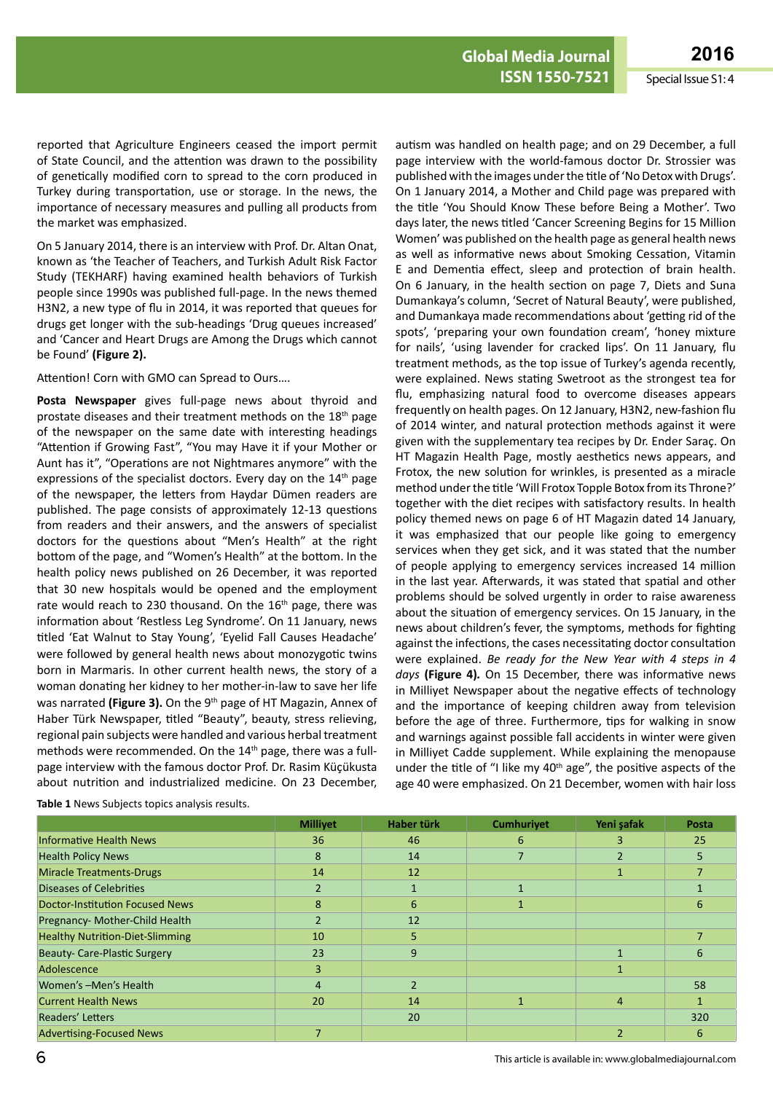reported that Agriculture Engineers ceased the import permit of State Council, and the attention was drawn to the possibility of genetically modified corn to spread to the corn produced in Turkey during transportation, use or storage. In the news, the importance of necessary measures and pulling all products from the market was emphasized.

On 5 January 2014, there is an interview with Prof. Dr. Altan Onat, known as 'the Teacher of Teachers, and Turkish Adult Risk Factor Study (TEKHARF) having examined health behaviors of Turkish people since 1990s was published full-page. In the news themed H3N2, a new type of flu in 2014, it was reported that queues for drugs get longer with the sub-headings 'Drug queues increased' and 'Cancer and Heart Drugs are Among the Drugs which cannot be Found' **(Figure 2).**

Attention! Corn with GMO can Spread to Ours….

**Posta Newspaper** gives full-page news about thyroid and prostate diseases and their treatment methods on the 18<sup>th</sup> page of the newspaper on the same date with interesting headings "Attention if Growing Fast", "You may Have it if your Mother or Aunt has it", "Operations are not Nightmares anymore" with the expressions of the specialist doctors. Every day on the  $14<sup>th</sup>$  page of the newspaper, the letters from Haydar Dümen readers are published. The page consists of approximately 12-13 questions from readers and their answers, and the answers of specialist doctors for the questions about "Men's Health" at the right bottom of the page, and "Women's Health" at the bottom. In the health policy news published on 26 December, it was reported that 30 new hospitals would be opened and the employment rate would reach to 230 thousand. On the  $16<sup>th</sup>$  page, there was information about 'Restless Leg Syndrome'. On 11 January, news titled 'Eat Walnut to Stay Young', 'Eyelid Fall Causes Headache' were followed by general health news about monozygotic twins born in Marmaris. In other current health news, the story of a woman donating her kidney to her mother-in-law to save her life was narrated (Figure 3). On the 9<sup>th</sup> page of HT Magazin, Annex of Haber Türk Newspaper, titled "Beauty", beauty, stress relieving, regional pain subjects were handled and various herbal treatment methods were recommended. On the 14<sup>th</sup> page, there was a fullpage interview with the famous doctor Prof. Dr. Rasim Küçükusta about nutrition and industrialized medicine. On 23 December,

autism was handled on health page; and on 29 December, a full page interview with the world-famous doctor Dr. Strossier was published with the images under the title of 'No Detox with Drugs'. On 1 January 2014, a Mother and Child page was prepared with the title 'You Should Know These before Being a Mother'. Two days later, the news titled 'Cancer Screening Begins for 15 Million Women' was published on the health page as general health news as well as informative news about Smoking Cessation, Vitamin E and Dementia effect, sleep and protection of brain health. On 6 January, in the health section on page 7, Diets and Suna Dumankaya's column, 'Secret of Natural Beauty', were published, and Dumankaya made recommendations about 'getting rid of the spots', 'preparing your own foundation cream', 'honey mixture for nails', 'using lavender for cracked lips'. On 11 January, flu treatment methods, as the top issue of Turkey's agenda recently, were explained. News stating Swetroot as the strongest tea for flu, emphasizing natural food to overcome diseases appears frequently on health pages. On 12 January, H3N2, new-fashion flu of 2014 winter, and natural protection methods against it were given with the supplementary tea recipes by Dr. Ender Saraç. On HT Magazin Health Page, mostly aesthetics news appears, and Frotox, the new solution for wrinkles, is presented as a miracle method under the title 'Will Frotox Topple Botox from its Throne?' together with the diet recipes with satisfactory results. In health policy themed news on page 6 of HT Magazin dated 14 January, it was emphasized that our people like going to emergency services when they get sick, and it was stated that the number of people applying to emergency services increased 14 million in the last year. Afterwards, it was stated that spatial and other problems should be solved urgently in order to raise awareness about the situation of emergency services. On 15 January, in the news about children's fever, the symptoms, methods for fighting against the infections, the cases necessitating doctor consultation were explained. *Be ready for the New Year with 4 steps in 4 days* **(Figure 4)***.* On 15 December, there was informative news in Milliyet Newspaper about the negative effects of technology and the importance of keeping children away from television before the age of three. Furthermore, tips for walking in snow and warnings against possible fall accidents in winter were given in Milliyet Cadde supplement. While explaining the menopause under the title of "I like my  $40<sup>th</sup>$  age", the positive aspects of the age 40 were emphasized. On 21 December, women with hair loss

|                                        | <b>Millivet</b> | Haber türk     | <b>Cumhurivet</b> | Yeni şafak     | Posta |
|----------------------------------------|-----------------|----------------|-------------------|----------------|-------|
| <b>Informative Health News</b>         | 36              | 46             | 6                 | 3              | 25    |
| <b>Health Policy News</b>              | 8               | 14             |                   |                |       |
| <b>Miracle Treatments-Drugs</b>        | 14              | 12             |                   |                |       |
| <b>Diseases of Celebrities</b>         | $\overline{2}$  | $\mathbf{1}$   |                   |                |       |
| <b>Doctor-Institution Focused News</b> | 8               | 6              |                   |                | 6     |
| Pregnancy- Mother-Child Health         |                 | 12             |                   |                |       |
| <b>Healthy Nutrition-Diet-Slimming</b> | 10              | 5              |                   |                |       |
| <b>Beauty- Care-Plastic Surgery</b>    | 23              | 9              |                   |                | 6     |
| Adolescence                            | 3               |                |                   |                |       |
| Women's -Men's Health                  | 4               | $\mathfrak{p}$ |                   |                | 58    |
| <b>Current Health News</b>             | 20              | 14             |                   | $\overline{4}$ |       |
| Readers' Letters                       |                 | 20             |                   |                | 320   |
| <b>Advertising-Focused News</b>        |                 |                |                   |                | 6     |

**Table 1** News Subjects topics analysis results.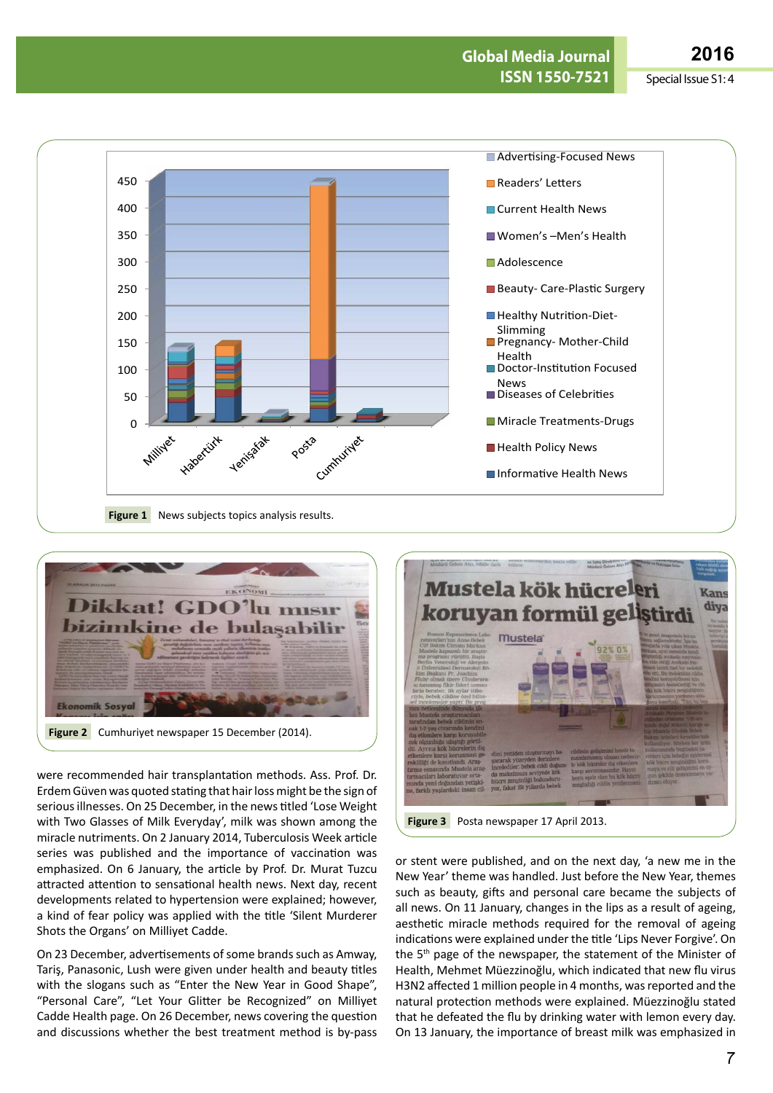



were recommended hair transplantation methods. Ass. Prof. Dr. Erdem Güven was quoted stating that hair loss might be the sign of serious illnesses. On 25 December, in the news titled 'Lose Weight with Two Glasses of Milk Everyday', milk was shown among the miracle nutriments. On 2 January 2014, Tuberculosis Week article series was published and the importance of vaccination was emphasized. On 6 January, the article by Prof. Dr. Murat Tuzcu attracted attention to sensational health news. Next day, recent developments related to hypertension were explained; however, a kind of fear policy was applied with the title 'Silent Murderer Shots the Organs' on Milliyet Cadde.

On 23 December, advertisements of some brands such as Amway, Tariş, Panasonic, Lush were given under health and beauty titles with the slogans such as "Enter the New Year in Good Shape", "Personal Care", "Let Your Glitter be Recognized" on Milliyet Cadde Health page. On 26 December, news covering the question and discussions whether the best treatment method is by-pass



or stent were published, and on the next day, 'a new me in the New Year' theme was handled. Just before the New Year, themes such as beauty, gifts and personal care became the subjects of all news. On 11 January, changes in the lips as a result of ageing, aesthetic miracle methods required for the removal of ageing indications were explained under the title 'Lips Never Forgive'. On the 5<sup>th</sup> page of the newspaper, the statement of the Minister of Health, Mehmet Müezzinoğlu, which indicated that new flu virus H3N2 affected 1 million people in 4 months, was reported and the natural protection methods were explained. Müezzinoğlu stated that he defeated the flu by drinking water with lemon every day. On 13 January, the importance of breast milk was emphasized in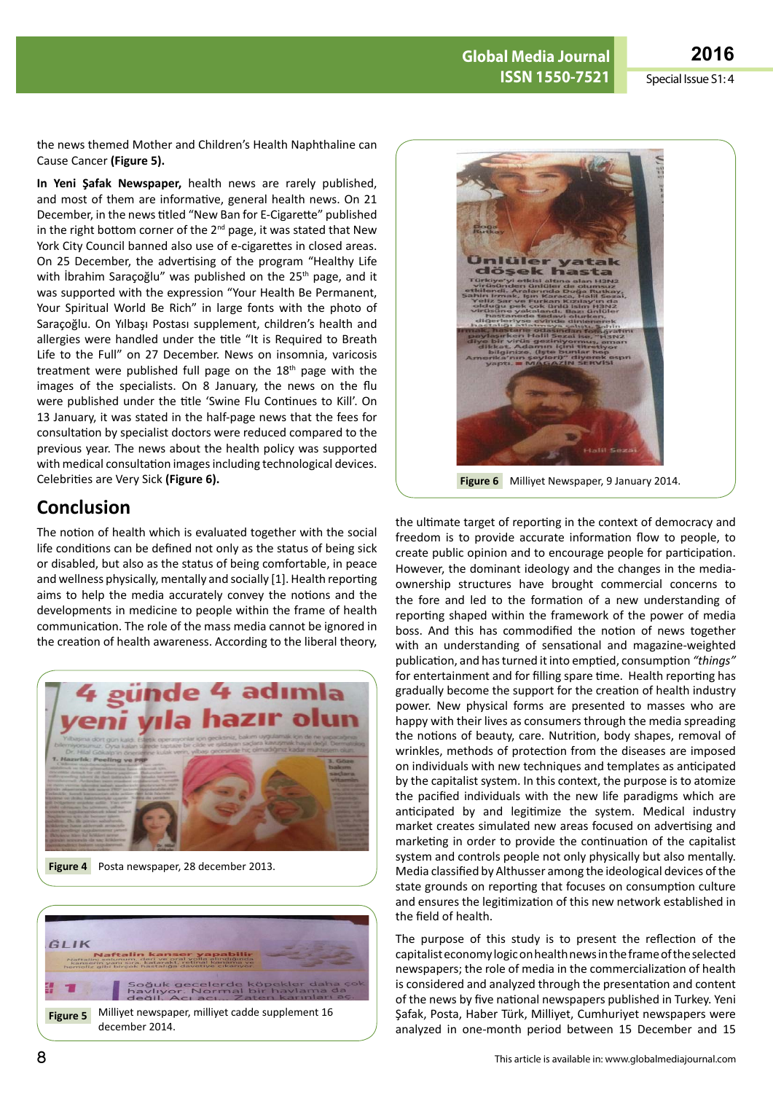

the news themed Mother and Children's Health Naphthaline can Cause Cancer **(Figure 5).**

**In Yeni Şafak Newspaper,** health news are rarely published, and most of them are informative, general health news. On 21 December, in the news titled "New Ban for E-Cigarette" published in the right bottom corner of the 2<sup>nd</sup> page, it was stated that New York City Council banned also use of e-cigarettes in closed areas. On 25 December, the advertising of the program "Healthy Life with İbrahim Saraçoğlu" was published on the 25<sup>th</sup> page, and it was supported with the expression "Your Health Be Permanent, Your Spiritual World Be Rich" in large fonts with the photo of Saraçoğlu. On Yılbaşı Postası supplement, children's health and allergies were handled under the title "It is Required to Breath Life to the Full" on 27 December. News on insomnia, varicosis treatment were published full page on the  $18<sup>th</sup>$  page with the images of the specialists. On 8 January, the news on the flu were published under the title 'Swine Flu Continues to Kill'. On 13 January, it was stated in the half-page news that the fees for consultation by specialist doctors were reduced compared to the previous year. The news about the health policy was supported with medical consultation images including technological devices. Celebrities are Very Sick **(Figure 6).**

### **Conclusion**

The notion of health which is evaluated together with the social life conditions can be defined not only as the status of being sick or disabled, but also as the status of being comfortable, in peace and wellness physically, mentally and socially [1]. Health reporting aims to help the media accurately convey the notions and the developments in medicine to people within the frame of health communication. The role of the mass media cannot be ignored in the creation of health awareness. According to the liberal theory,







**Figure 6** Milliyet Newspaper, 9 January 2014.

the ultimate target of reporting in the context of democracy and freedom is to provide accurate information flow to people, to create public opinion and to encourage people for participation. However, the dominant ideology and the changes in the mediaownership structures have brought commercial concerns to the fore and led to the formation of a new understanding of reporting shaped within the framework of the power of media boss. And this has commodified the notion of news together with an understanding of sensational and magazine-weighted publication, and has turned it into emptied, consumption *"things"*  for entertainment and for filling spare time. Health reporting has gradually become the support for the creation of health industry power. New physical forms are presented to masses who are happy with their lives as consumers through the media spreading the notions of beauty, care. Nutrition, body shapes, removal of wrinkles, methods of protection from the diseases are imposed on individuals with new techniques and templates as anticipated by the capitalist system. In this context, the purpose is to atomize the pacified individuals with the new life paradigms which are anticipated by and legitimize the system. Medical industry market creates simulated new areas focused on advertising and marketing in order to provide the continuation of the capitalist system and controls people not only physically but also mentally. Media classified by Althusser among the ideological devices of the state grounds on reporting that focuses on consumption culture and ensures the legitimization of this new network established in the field of health.

The purpose of this study is to present the reflection of the capitalist economy logic on health news in the frame of the selected newspapers; the role of media in the commercialization of health is considered and analyzed through the presentation and content of the news by five national newspapers published in Turkey. Yeni Şafak, Posta, Haber Türk, Milliyet, Cumhuriyet newspapers were analyzed in one-month period between 15 December and 15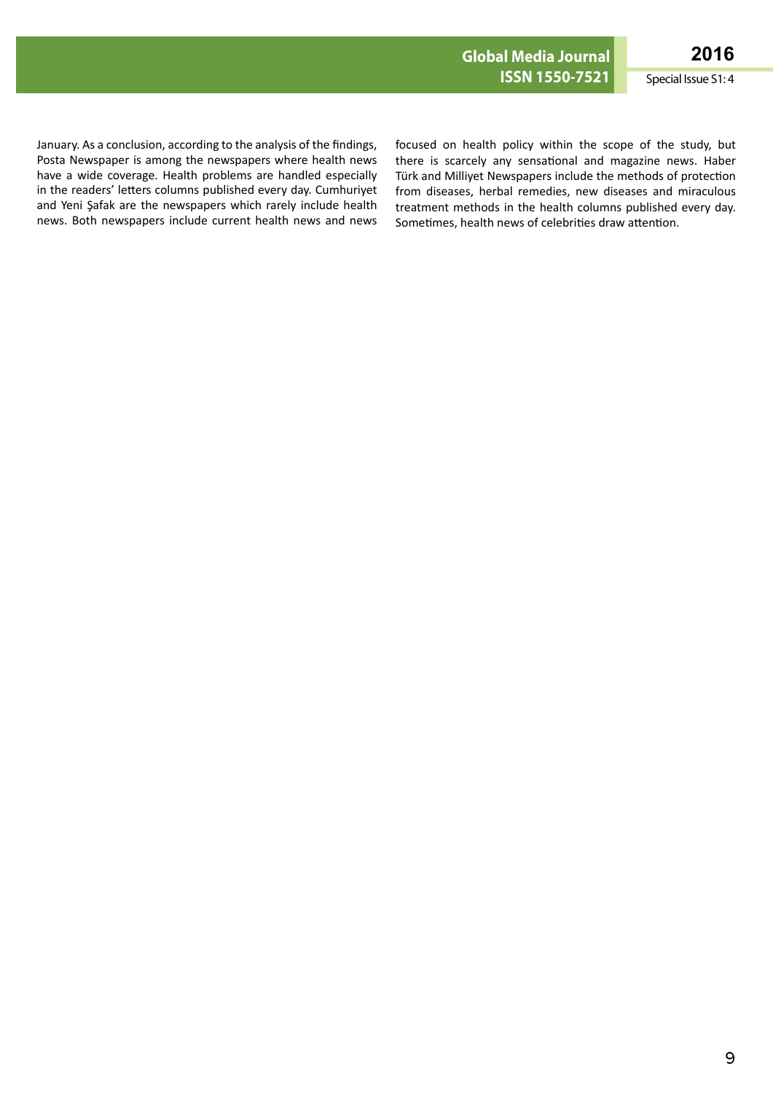January. As a conclusion, according to the analysis of the findings, Posta Newspaper is among the newspapers where health news have a wide coverage. Health problems are handled especially in the readers' letters columns published every day. Cumhuriyet and Yeni Şafak are the newspapers which rarely include health news. Both newspapers include current health news and news

focused on health policy within the scope of the study, but there is scarcely any sensational and magazine news. Haber Türk and Milliyet Newspapers include the methods of protection from diseases, herbal remedies, new diseases and miraculous treatment methods in the health columns published every day. Sometimes, health news of celebrities draw attention.